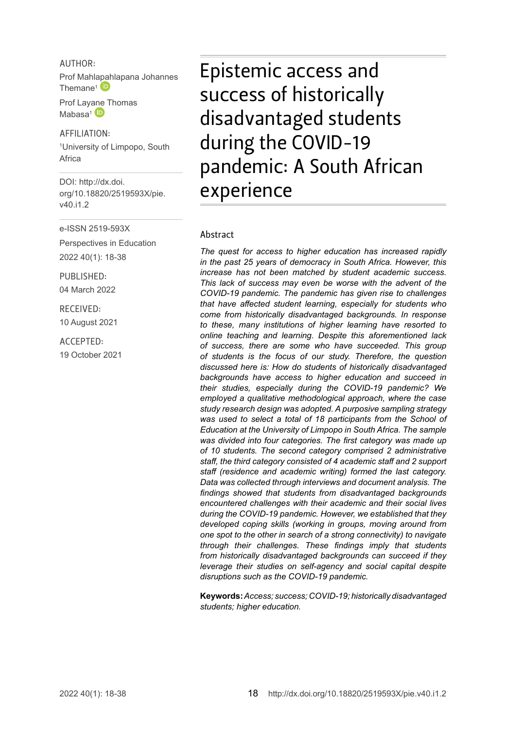AUTHOR: Prof Mahl[apah](http://orcid.org/0000-0002-2097-8538)lapana Johannes Themane<sup>1</sup>

Prof Lay[ane T](http://orcid.org/0000-0002-8270-4495)homas  $M$ abasa<sup>1</sub> (D)</sup>

AFFILIATION: 1 University of Limpopo, South Africa

DOI: [http://dx.doi.](http://dx.doi.org/10.18820/2519593X/pie.v40.i1.2) [org/10.18820/2519593X/p](http://dx.doi.org/10.18820/2519593X/pie.v40.i1.2)ie. v40.i1.2

e-ISSN 2519-593X

Perspectives in Education 2022 40(1): 18-38

PUBLISHED: 04 March 2022

RECEIVED: 10 August 2021

ACCEPTED: 19 October 2021 Epistemic access and success of historically disadvantaged students during the COVID-19 pandemic: A South African experience

#### Abstract

*The quest for access to higher education has increased rapidly in the past 25 years of democracy in South Africa. However, this increase has not been matched by student academic success. This lack of success may even be worse with the advent of the COVID-19 pandemic. The pandemic has given rise to challenges that have affected student learning, especially for students who come from historically disadvantaged backgrounds. In response to these, many institutions of higher learning have resorted to online teaching and learning. Despite this aforementioned lack of success, there are some who have succeeded. This group of students is the focus of our study. Therefore, the question discussed here is: How do students of historically disadvantaged backgrounds have access to higher education and succeed in their studies, especially during the COVID-19 pandemic? We employed a qualitative methodological approach, where the case study research design was adopted. A purposive sampling strategy was used to select a total of 18 participants from the School of Education at the University of Limpopo in South Africa. The sample was divided into four categories. The first category was made up of 10 students. The second category comprised 2 administrative staff, the third category consisted of 4 academic staff and 2 support staff (residence and academic writing) formed the last category. Data was collected through interviews and document analysis. The findings showed that students from disadvantaged backgrounds encountered challenges with their academic and their social lives during the COVID-19 pandemic. However, we established that they developed coping skills (working in groups, moving around from one spot to the other in search of a strong connectivity) to navigate through their challenges. These findings imply that students from historically disadvantaged backgrounds can succeed if they leverage their studies on self-agency and social capital despite disruptions such as the COVID-19 pandemic.* 

**Keywords:** *Access; success; COVID-19; historically disadvantaged students; higher education.*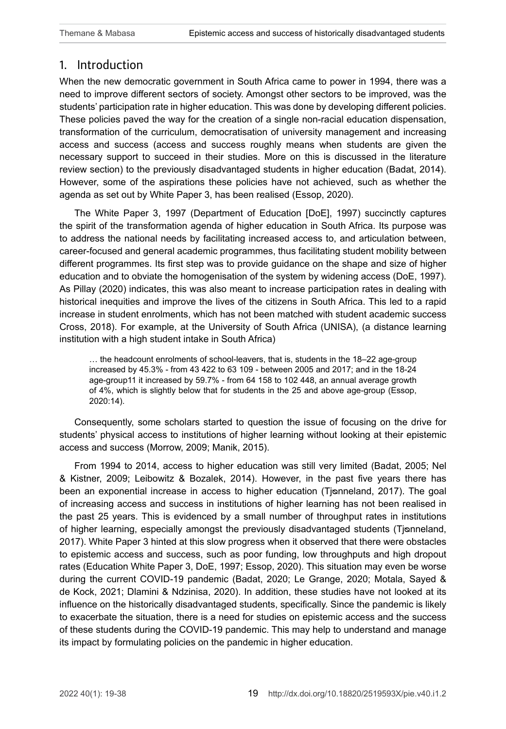# 1. Introduction

When the new democratic government in South Africa came to power in 1994, there was a need to improve different sectors of society. Amongst other sectors to be improved, was the students' participation rate in higher education. This was done by developing different policies. These policies paved the way for the creation of a single non-racial education dispensation, transformation of the curriculum, democratisation of university management and increasing access and success (access and success roughly means when students are given the necessary support to succeed in their studies. More on this is discussed in the literature review section) to the previously disadvantaged students in higher education (Badat, 2014). However, some of the aspirations these policies have not achieved, such as whether the agenda as set out by White Paper 3, has been realised (Essop, 2020).

The White Paper 3, 1997 (Department of Education [DoE], 1997) succinctly captures the spirit of the transformation agenda of higher education in South Africa. Its purpose was to address the national needs by facilitating increased access to, and articulation between, career-focused and general academic programmes, thus facilitating student mobility between different programmes. Its first step was to provide guidance on the shape and size of higher education and to obviate the homogenisation of the system by widening access (DoE, 1997). As Pillay (2020) indicates, this was also meant to increase participation rates in dealing with historical inequities and improve the lives of the citizens in South Africa. This led to a rapid increase in student enrolments, which has not been matched with student academic success Cross, 2018). For example, at the University of South Africa (UNISA), (a distance learning institution with a high student intake in South Africa)

… the headcount enrolments of school-leavers, that is, students in the 18–22 age-group increased by 45.3% - from 43 422 to 63 109 - between 2005 and 2017; and in the 18-24 age-group11 it increased by 59.7% - from 64 158 to 102 448, an annual average growth of 4%, which is slightly below that for students in the 25 and above age-group (Essop, 2020:14).

Consequently, some scholars started to question the issue of focusing on the drive for students' physical access to institutions of higher learning without looking at their epistemic access and success (Morrow, 2009; Manik, 2015).

From 1994 to 2014, access to higher education was still very limited (Badat, 2005; Nel & Kistner, 2009; Leibowitz & Bozalek, 2014). However, in the past five years there has been an exponential increase in access to higher education (Tjonneland, 2017). The goal of increasing access and success in institutions of higher learning has not been realised in the past 25 years. This is evidenced by a small number of throughput rates in institutions of higher learning, especially amongst the previously disadvantaged students (Tisnneland, 2017). White Paper 3 hinted at this slow progress when it observed that there were obstacles to epistemic access and success, such as poor funding, low throughputs and high dropout rates (Education White Paper 3, DoE, 1997; Essop, 2020). This situation may even be worse during the current COVID-19 pandemic (Badat, 2020; Le Grange, 2020; Motala, Sayed & de Kock, 2021; Dlamini & Ndzinisa, 2020). In addition, these studies have not looked at its influence on the historically disadvantaged students, specifically. Since the pandemic is likely to exacerbate the situation, there is a need for studies on epistemic access and the success of these students during the COVID-19 pandemic. This may help to understand and manage its impact by formulating policies on the pandemic in higher education.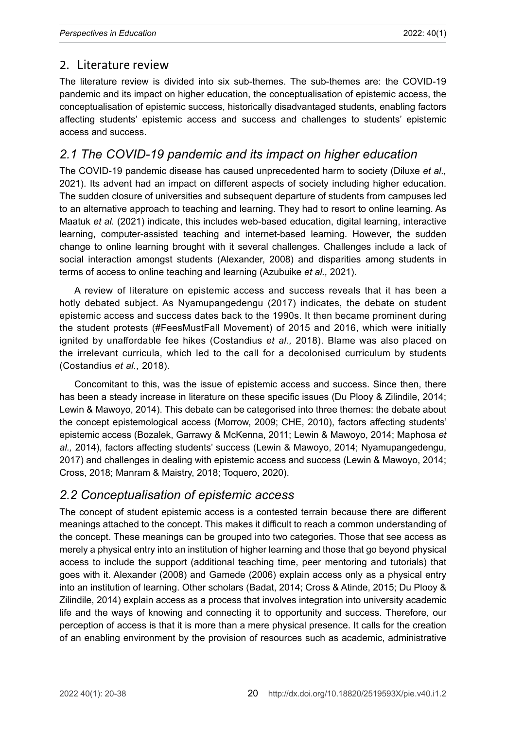# 2. Literature review

The literature review is divided into six sub-themes. The sub-themes are: the COVID-19 pandemic and its impact on higher education, the conceptualisation of epistemic access, the conceptualisation of epistemic success, historically disadvantaged students, enabling factors affecting students' epistemic access and success and challenges to students' epistemic access and success.

# *2.1 The COVID-19 pandemic and its impact on higher education*

The COVID-19 pandemic disease has caused unprecedented harm to society (Diluxe *et al.,* 2021). Its advent had an impact on different aspects of society including higher education. The sudden closure of universities and subsequent departure of students from campuses led to an alternative approach to teaching and learning. They had to resort to online learning. As Maatuk *et al.* (2021) indicate, this includes web-based education, digital learning, interactive learning, computer-assisted teaching and internet-based learning. However, the sudden change to online learning brought with it several challenges. Challenges include a lack of social interaction amongst students (Alexander, 2008) and disparities among students in terms of access to online teaching and learning (Azubuike *et al.,* 2021).

A review of literature on epistemic access and success reveals that it has been a hotly debated subject. As Nyamupangedengu (2017) indicates, the debate on student epistemic access and success dates back to the 1990s. It then became prominent during the student protests (#FeesMustFall Movement) of 2015 and 2016, which were initially ignited by unaffordable fee hikes (Costandius *et al.,* 2018). Blame was also placed on the irrelevant curricula, which led to the call for a decolonised curriculum by students (Costandius *et al.,* 2018).

Concomitant to this, was the issue of epistemic access and success. Since then, there has been a steady increase in literature on these specific issues (Du Plooy & Zilindile, 2014; Lewin & Mawoyo, 2014). This debate can be categorised into three themes: the debate about the concept epistemological access (Morrow, 2009; CHE, 2010), factors affecting students' epistemic access (Bozalek, Garrawy & McKenna, 2011; Lewin & Mawoyo, 2014; Maphosa *et al.,* 2014), factors affecting students' success (Lewin & Mawoyo, 2014; Nyamupangedengu, 2017) and challenges in dealing with epistemic access and success (Lewin & Mawoyo, 2014; Cross, 2018; Manram & Maistry, 2018; Toquero, 2020).

# *2.2 Conceptualisation of epistemic access*

The concept of student epistemic access is a contested terrain because there are different meanings attached to the concept. This makes it difficult to reach a common understanding of the concept. These meanings can be grouped into two categories. Those that see access as merely a physical entry into an institution of higher learning and those that go beyond physical access to include the support (additional teaching time, peer mentoring and tutorials) that goes with it. Alexander (2008) and Gamede (2006) explain access only as a physical entry into an institution of learning. Other scholars (Badat, 2014; Cross & Atinde, 2015; Du Plooy & Zilindile, 2014) explain access as a process that involves integration into university academic life and the ways of knowing and connecting it to opportunity and success. Therefore, our perception of access is that it is more than a mere physical presence. It calls for the creation of an enabling environment by the provision of resources such as academic, administrative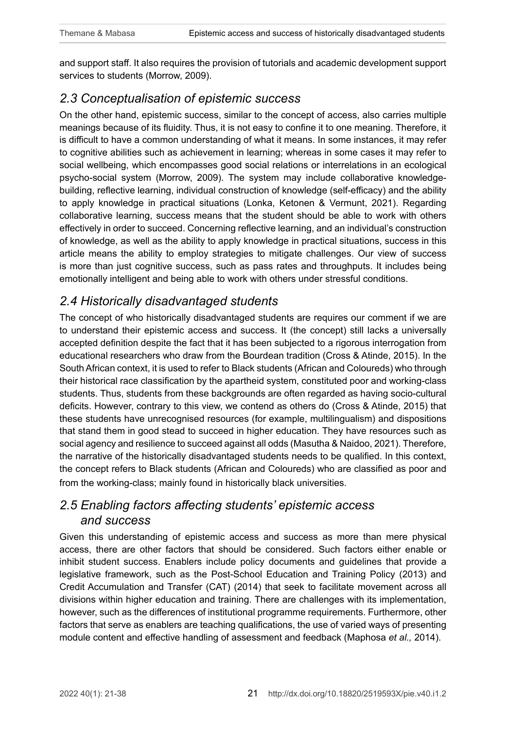and support staff. It also requires the provision of tutorials and academic development support services to students (Morrow, 2009).

# *2.3 Conceptualisation of epistemic success*

On the other hand, epistemic success, similar to the concept of access, also carries multiple meanings because of its fluidity. Thus, it is not easy to confine it to one meaning. Therefore, it is difficult to have a common understanding of what it means. In some instances, it may refer to cognitive abilities such as achievement in learning; whereas in some cases it may refer to social wellbeing, which encompasses good social relations or interrelations in an ecological psycho-social system (Morrow, 2009). The system may include collaborative knowledgebuilding, reflective learning, individual construction of knowledge (self-efficacy) and the ability to apply knowledge in practical situations (Lonka, Ketonen & Vermunt, 2021). Regarding collaborative learning, success means that the student should be able to work with others effectively in order to succeed. Concerning reflective learning, and an individual's construction of knowledge, as well as the ability to apply knowledge in practical situations, success in this article means the ability to employ strategies to mitigate challenges. Our view of success is more than just cognitive success, such as pass rates and throughputs. It includes being emotionally intelligent and being able to work with others under stressful conditions.

# *2.4 Historically disadvantaged students*

The concept of who historically disadvantaged students are requires our comment if we are to understand their epistemic access and success. It (the concept) still lacks a universally accepted definition despite the fact that it has been subjected to a rigorous interrogation from educational researchers who draw from the Bourdean tradition (Cross & Atinde, 2015). In the South African context, it is used to refer to Black students (African and Coloureds) who through their historical race classification by the apartheid system, constituted poor and working-class students. Thus, students from these backgrounds are often regarded as having socio-cultural deficits. However, contrary to this view, we contend as others do (Cross & Atinde, 2015) that these students have unrecognised resources (for example, multilingualism) and dispositions that stand them in good stead to succeed in higher education. They have resources such as social agency and resilience to succeed against all odds (Masutha & Naidoo, 2021). Therefore, the narrative of the historically disadvantaged students needs to be qualified. In this context, the concept refers to Black students (African and Coloureds) who are classified as poor and from the working-class; mainly found in historically black universities.

# *2.5 Enabling factors affecting students' epistemic access and success*

Given this understanding of epistemic access and success as more than mere physical access, there are other factors that should be considered. Such factors either enable or inhibit student success. Enablers include policy documents and guidelines that provide a legislative framework, such as the Post-School Education and Training Policy (2013) and Credit Accumulation and Transfer (CAT) (2014) that seek to facilitate movement across all divisions within higher education and training. There are challenges with its implementation, however, such as the differences of institutional programme requirements. Furthermore, other factors that serve as enablers are teaching qualifications, the use of varied ways of presenting module content and effective handling of assessment and feedback (Maphosa *et al.,* 2014).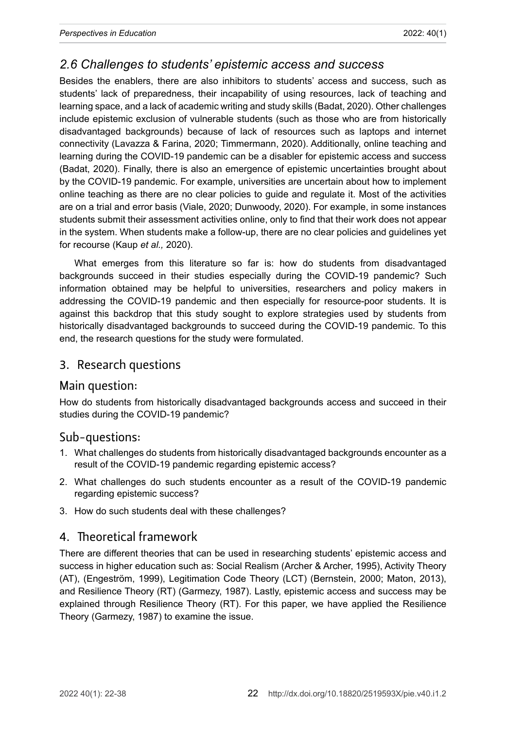### *2.6 Challenges to students' epistemic access and success*

Besides the enablers, there are also inhibitors to students' access and success, such as students' lack of preparedness, their incapability of using resources, lack of teaching and learning space, and a lack of academic writing and study skills (Badat, 2020). Other challenges include epistemic exclusion of vulnerable students (such as those who are from historically disadvantaged backgrounds) because of lack of resources such as laptops and internet connectivity (Lavazza & Farina, 2020; Timmermann, 2020). Additionally, online teaching and learning during the COVID-19 pandemic can be a disabler for epistemic access and success (Badat, 2020). Finally, there is also an emergence of epistemic uncertainties brought about by the COVID-19 pandemic. For example, universities are uncertain about how to implement online teaching as there are no clear policies to guide and regulate it. Most of the activities are on a trial and error basis (Viale, 2020; Dunwoody, 2020). For example, in some instances students submit their assessment activities online, only to find that their work does not appear in the system. When students make a follow-up, there are no clear policies and guidelines yet for recourse (Kaup *et al.,* 2020).

What emerges from this literature so far is: how do students from disadvantaged backgrounds succeed in their studies especially during the COVID-19 pandemic? Such information obtained may be helpful to universities, researchers and policy makers in addressing the COVID-19 pandemic and then especially for resource-poor students. It is against this backdrop that this study sought to explore strategies used by students from historically disadvantaged backgrounds to succeed during the COVID-19 pandemic. To this end, the research questions for the study were formulated.

#### 3. Research questions

#### Main question:

How do students from historically disadvantaged backgrounds access and succeed in their studies during the COVID-19 pandemic?

#### Sub-questions:

- 1. What challenges do students from historically disadvantaged backgrounds encounter as a result of the COVID-19 pandemic regarding epistemic access?
- 2. What challenges do such students encounter as a result of the COVID-19 pandemic regarding epistemic success?
- 3. How do such students deal with these challenges?

#### 4. Theoretical framework

There are different theories that can be used in researching students' epistemic access and success in higher education such as: Social Realism (Archer & Archer, 1995), Activity Theory (AT), (Engeström, 1999), Legitimation Code Theory (LCT) (Bernstein, 2000; Maton, 2013), and Resilience Theory (RT) (Garmezy, 1987). Lastly, epistemic access and success may be explained through Resilience Theory (RT). For this paper, we have applied the Resilience Theory (Garmezy, 1987) to examine the issue.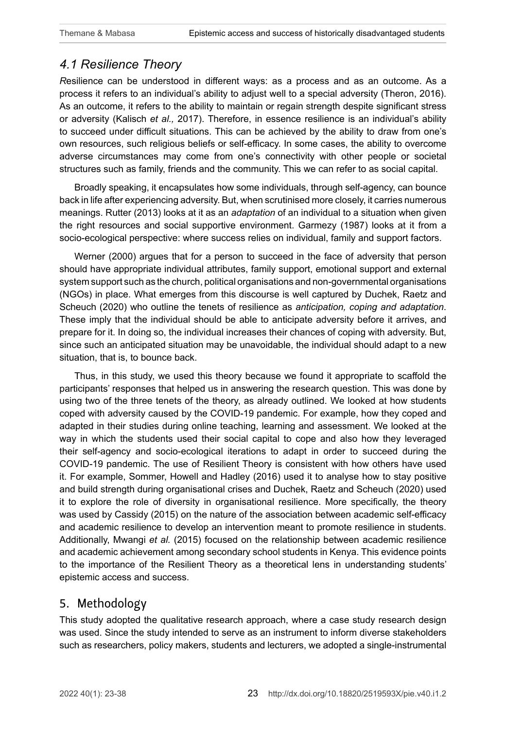# *4.1 Resilience Theory*

*R*esilience can be understood in different ways: as a process and as an outcome. As a process it refers to an individual's ability to adjust well to a special adversity (Theron, 2016). As an outcome, it refers to the ability to maintain or regain strength despite significant stress or adversity (Kalisch *et al.,* 2017). Therefore, in essence resilience is an individual's ability to succeed under difficult situations. This can be achieved by the ability to draw from one's own resources, such religious beliefs or self-efficacy. In some cases, the ability to overcome adverse circumstances may come from one's connectivity with other people or societal structures such as family, friends and the community. This we can refer to as social capital.

Broadly speaking, it encapsulates how some individuals, through self-agency, can bounce back in life after experiencing adversity. But, when scrutinised more closely, it carries numerous meanings. Rutter (2013) looks at it as an *adaptation* of an individual to a situation when given the right resources and social supportive environment. Garmezy (1987) looks at it from a socio-ecological perspective: where success relies on individual, family and support factors.

Werner (2000) argues that for a person to succeed in the face of adversity that person should have appropriate individual attributes, family support, emotional support and external system support such as the church, political organisations and non-governmental organisations (NGOs) in place. What emerges from this discourse is well captured by Duchek, Raetz and Scheuch (2020) who outline the tenets of resilience as *anticipation, coping and adaptation*. These imply that the individual should be able to anticipate adversity before it arrives, and prepare for it. In doing so, the individual increases their chances of coping with adversity. But, since such an anticipated situation may be unavoidable, the individual should adapt to a new situation, that is, to bounce back.

Thus, in this study, we used this theory because we found it appropriate to scaffold the participants' responses that helped us in answering the research question. This was done by using two of the three tenets of the theory, as already outlined. We looked at how students coped with adversity caused by the COVID-19 pandemic. For example, how they coped and adapted in their studies during online teaching, learning and assessment. We looked at the way in which the students used their social capital to cope and also how they leveraged their self-agency and socio-ecological iterations to adapt in order to succeed during the COVID-19 pandemic. The use of Resilient Theory is consistent with how others have used it. For example, Sommer, Howell and Hadley (2016) used it to analyse how to stay positive and build strength during organisational crises and Duchek, Raetz and Scheuch (2020) used it to explore the role of diversity in organisational resilience. More specifically, the theory was used by Cassidy (2015) on the nature of the association between academic self-efficacy and academic resilience to develop an intervention meant to promote resilience in students. Additionally, Mwangi *et al.* (2015) focused on the relationship between academic resilience and academic achievement among secondary school students in Kenya. This evidence points to the importance of the Resilient Theory as a theoretical lens in understanding students' epistemic access and success.

# 5. Methodology

This study adopted the qualitative research approach, where a case study research design was used. Since the study intended to serve as an instrument to inform diverse stakeholders such as researchers, policy makers, students and lecturers, we adopted a single-instrumental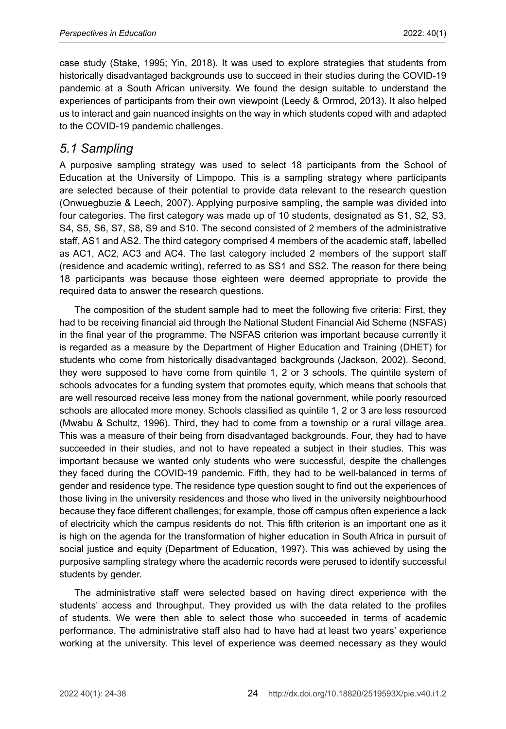case study (Stake, 1995; Yin, 2018). It was used to explore strategies that students from historically disadvantaged backgrounds use to succeed in their studies during the COVID-19 pandemic at a South African university. We found the design suitable to understand the experiences of participants from their own viewpoint (Leedy & Ormrod, 2013). It also helped us to interact and gain nuanced insights on the way in which students coped with and adapted to the COVID-19 pandemic challenges.

#### *5.1 Sampling*

A purposive sampling strategy was used to select 18 participants from the School of Education at the University of Limpopo. This is a sampling strategy where participants are selected because of their potential to provide data relevant to the research question (Onwuegbuzie & Leech, 2007). Applying purposive sampling, the sample was divided into four categories. The first category was made up of 10 students, designated as S1, S2, S3, S4, S5, S6, S7, S8, S9 and S10. The second consisted of 2 members of the administrative staff, AS1 and AS2. The third category comprised 4 members of the academic staff, labelled as AC1, AC2, AC3 and AC4. The last category included 2 members of the support staff (residence and academic writing), referred to as SS1 and SS2. The reason for there being 18 participants was because those eighteen were deemed appropriate to provide the required data to answer the research questions.

The composition of the student sample had to meet the following five criteria: First, they had to be receiving financial aid through the National Student Financial Aid Scheme (NSFAS) in the final year of the programme. The NSFAS criterion was important because currently it is regarded as a measure by the Department of Higher Education and Training (DHET) for students who come from historically disadvantaged backgrounds (Jackson, 2002). Second, they were supposed to have come from quintile 1, 2 or 3 schools. The quintile system of schools advocates for a funding system that promotes equity, which means that schools that are well resourced receive less money from the national government, while poorly resourced schools are allocated more money. Schools classified as quintile 1, 2 or 3 are less resourced (Mwabu & Schultz, 1996). Third, they had to come from a township or a rural village area. This was a measure of their being from disadvantaged backgrounds. Four, they had to have succeeded in their studies, and not to have repeated a subject in their studies. This was important because we wanted only students who were successful, despite the challenges they faced during the COVID-19 pandemic. Fifth, they had to be well-balanced in terms of gender and residence type. The residence type question sought to find out the experiences of those living in the university residences and those who lived in the university neighbourhood because they face different challenges; for example, those off campus often experience a lack of electricity which the campus residents do not. This fifth criterion is an important one as it is high on the agenda for the transformation of higher education in South Africa in pursuit of social justice and equity (Department of Education, 1997). This was achieved by using the purposive sampling strategy where the academic records were perused to identify successful students by gender.

The administrative staff were selected based on having direct experience with the students' access and throughput. They provided us with the data related to the profiles of students. We were then able to select those who succeeded in terms of academic performance. The administrative staff also had to have had at least two years' experience working at the university. This level of experience was deemed necessary as they would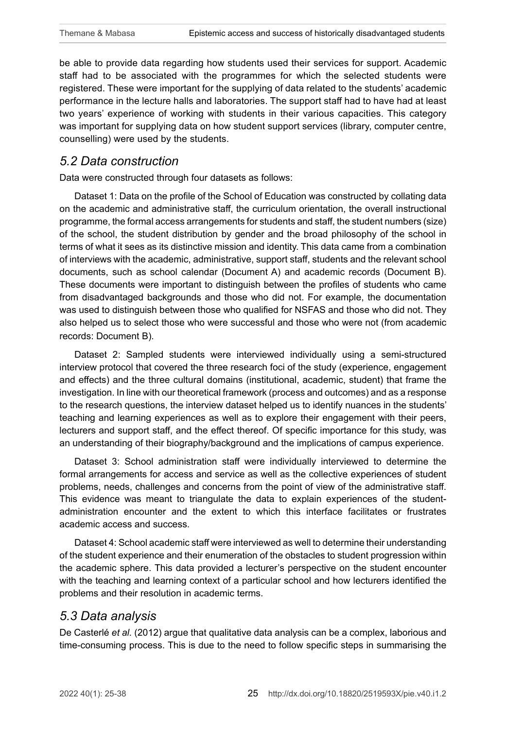be able to provide data regarding how students used their services for support. Academic staff had to be associated with the programmes for which the selected students were registered. These were important for the supplying of data related to the students' academic performance in the lecture halls and laboratories. The support staff had to have had at least two years' experience of working with students in their various capacities. This category was important for supplying data on how student support services (library, computer centre, counselling) were used by the students.

### *5.2 Data construction*

Data were constructed through four datasets as follows:

Dataset 1: Data on the profile of the School of Education was constructed by collating data on the academic and administrative staff, the curriculum orientation, the overall instructional programme, the formal access arrangements for students and staff, the student numbers (size) of the school, the student distribution by gender and the broad philosophy of the school in terms of what it sees as its distinctive mission and identity. This data came from a combination of interviews with the academic, administrative, support staff, students and the relevant school documents, such as school calendar (Document A) and academic records (Document B). These documents were important to distinguish between the profiles of students who came from disadvantaged backgrounds and those who did not. For example, the documentation was used to distinguish between those who qualified for NSFAS and those who did not. They also helped us to select those who were successful and those who were not (from academic records: Document B).

Dataset 2: Sampled students were interviewed individually using a semi-structured interview protocol that covered the three research foci of the study (experience, engagement and effects) and the three cultural domains (institutional, academic, student) that frame the investigation. In line with our theoretical framework (process and outcomes) and as a response to the research questions, the interview dataset helped us to identify nuances in the students' teaching and learning experiences as well as to explore their engagement with their peers, lecturers and support staff, and the effect thereof. Of specific importance for this study, was an understanding of their biography/background and the implications of campus experience.

Dataset 3: School administration staff were individually interviewed to determine the formal arrangements for access and service as well as the collective experiences of student problems, needs, challenges and concerns from the point of view of the administrative staff. This evidence was meant to triangulate the data to explain experiences of the studentadministration encounter and the extent to which this interface facilitates or frustrates academic access and success.

Dataset 4: School academic staff were interviewed as well to determine their understanding of the student experience and their enumeration of the obstacles to student progression within the academic sphere. This data provided a lecturer's perspective on the student encounter with the teaching and learning context of a particular school and how lecturers identified the problems and their resolution in academic terms.

# *5.3 Data analysis*

De Casterlé *et al.* (2012) argue that qualitative data analysis can be a complex, laborious and time-consuming process. This is due to the need to follow specific steps in summarising the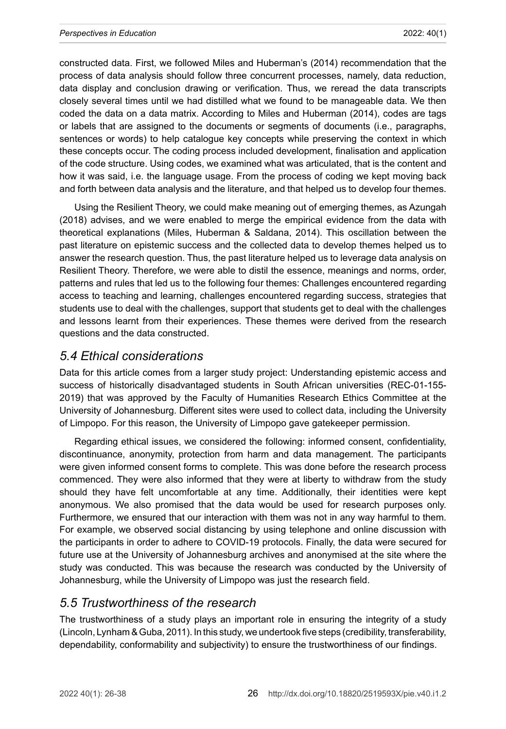constructed data. First, we followed Miles and Huberman's (2014) recommendation that the process of data analysis should follow three concurrent processes, namely, data reduction, data display and conclusion drawing or verification. Thus, we reread the data transcripts closely several times until we had distilled what we found to be manageable data. We then coded the data on a data matrix. According to Miles and Huberman (2014), codes are tags or labels that are assigned to the documents or segments of documents (i.e., paragraphs, sentences or words) to help catalogue key concepts while preserving the context in which these concepts occur. The coding process included development, finalisation and application of the code structure. Using codes, we examined what was articulated, that is the content and how it was said, i.e. the language usage. From the process of coding we kept moving back and forth between data analysis and the literature, and that helped us to develop four themes.

Using the Resilient Theory, we could make meaning out of emerging themes, as Azungah (2018) advises, and we were enabled to merge the empirical evidence from the data with theoretical explanations (Miles, Huberman & Saldana, 2014). This oscillation between the past literature on epistemic success and the collected data to develop themes helped us to answer the research question. Thus, the past literature helped us to leverage data analysis on Resilient Theory. Therefore, we were able to distil the essence, meanings and norms, order, patterns and rules that led us to the following four themes: Challenges encountered regarding access to teaching and learning, challenges encountered regarding success, strategies that students use to deal with the challenges, support that students get to deal with the challenges and lessons learnt from their experiences. These themes were derived from the research questions and the data constructed.

# *5.4 Ethical considerations*

Data for this article comes from a larger study project: Understanding epistemic access and success of historically disadvantaged students in South African universities (REC-01-155- 2019) that was approved by the Faculty of Humanities Research Ethics Committee at the University of Johannesburg. Different sites were used to collect data, including the University of Limpopo. For this reason, the University of Limpopo gave gatekeeper permission.

Regarding ethical issues, we considered the following: informed consent, confidentiality, discontinuance, anonymity, protection from harm and data management. The participants were given informed consent forms to complete. This was done before the research process commenced. They were also informed that they were at liberty to withdraw from the study should they have felt uncomfortable at any time. Additionally, their identities were kept anonymous. We also promised that the data would be used for research purposes only. Furthermore, we ensured that our interaction with them was not in any way harmful to them. For example, we observed social distancing by using telephone and online discussion with the participants in order to adhere to COVID-19 protocols. Finally, the data were secured for future use at the University of Johannesburg archives and anonymised at the site where the study was conducted. This was because the research was conducted by the University of Johannesburg, while the University of Limpopo was just the research field.

# *5.5 Trustworthiness of the research*

The trustworthiness of a study plays an important role in ensuring the integrity of a study (Lincoln, Lynham & Guba, 2011). In this study, we undertook five steps (credibility, transferability, dependability, conformability and subjectivity) to ensure the trustworthiness of our findings.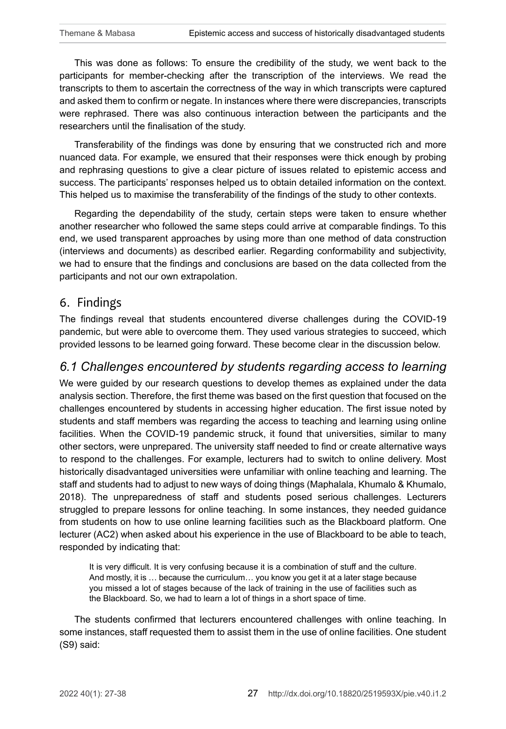This was done as follows: To ensure the credibility of the study, we went back to the participants for member-checking after the transcription of the interviews. We read the transcripts to them to ascertain the correctness of the way in which transcripts were captured and asked them to confirm or negate. In instances where there were discrepancies, transcripts were rephrased. There was also continuous interaction between the participants and the researchers until the finalisation of the study.

Transferability of the findings was done by ensuring that we constructed rich and more nuanced data. For example, we ensured that their responses were thick enough by probing and rephrasing questions to give a clear picture of issues related to epistemic access and success. The participants' responses helped us to obtain detailed information on the context. This helped us to maximise the transferability of the findings of the study to other contexts.

Regarding the dependability of the study, certain steps were taken to ensure whether another researcher who followed the same steps could arrive at comparable findings. To this end, we used transparent approaches by using more than one method of data construction (interviews and documents) as described earlier. Regarding conformability and subjectivity, we had to ensure that the findings and conclusions are based on the data collected from the participants and not our own extrapolation.

### 6. Findings

The findings reveal that students encountered diverse challenges during the COVID-19 pandemic, but were able to overcome them. They used various strategies to succeed, which provided lessons to be learned going forward. These become clear in the discussion below.

# *6.1 Challenges encountered by students regarding access to learning*

We were guided by our research questions to develop themes as explained under the data analysis section. Therefore, the first theme was based on the first question that focused on the challenges encountered by students in accessing higher education. The first issue noted by students and staff members was regarding the access to teaching and learning using online facilities. When the COVID-19 pandemic struck, it found that universities, similar to many other sectors, were unprepared. The university staff needed to find or create alternative ways to respond to the challenges. For example, lecturers had to switch to online delivery. Most historically disadvantaged universities were unfamiliar with online teaching and learning. The staff and students had to adjust to new ways of doing things (Maphalala, Khumalo & Khumalo, 2018). The unpreparedness of staff and students posed serious challenges. Lecturers struggled to prepare lessons for online teaching. In some instances, they needed guidance from students on how to use online learning facilities such as the Blackboard platform. One lecturer (AC2) when asked about his experience in the use of Blackboard to be able to teach, responded by indicating that:

It is very difficult. It is very confusing because it is a combination of stuff and the culture. And mostly, it is … because the curriculum… you know you get it at a later stage because you missed a lot of stages because of the lack of training in the use of facilities such as the Blackboard. So, we had to learn a lot of things in a short space of time.

The students confirmed that lecturers encountered challenges with online teaching. In some instances, staff requested them to assist them in the use of online facilities. One student (S9) said: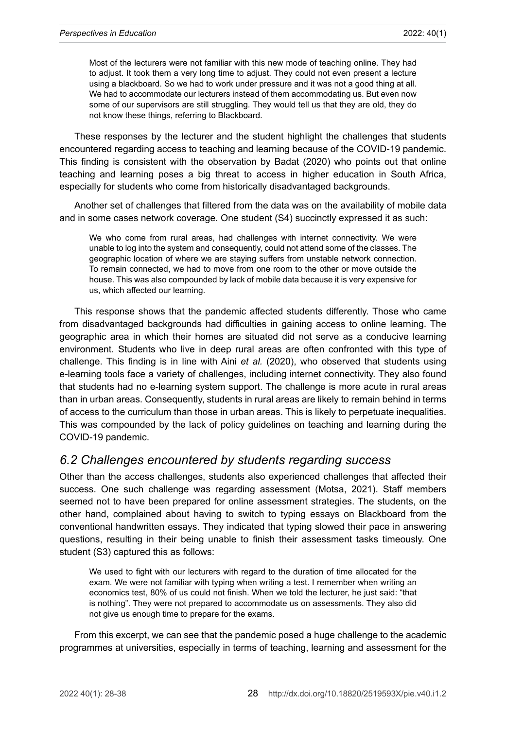Most of the lecturers were not familiar with this new mode of teaching online. They had to adjust. It took them a very long time to adjust. They could not even present a lecture using a blackboard. So we had to work under pressure and it was not a good thing at all. We had to accommodate our lecturers instead of them accommodating us. But even now some of our supervisors are still struggling. They would tell us that they are old, they do not know these things, referring to Blackboard.

These responses by the lecturer and the student highlight the challenges that students encountered regarding access to teaching and learning because of the COVID-19 pandemic. This finding is consistent with the observation by Badat (2020) who points out that online teaching and learning poses a big threat to access in higher education in South Africa, especially for students who come from historically disadvantaged backgrounds.

Another set of challenges that filtered from the data was on the availability of mobile data and in some cases network coverage. One student (S4) succinctly expressed it as such:

We who come from rural areas, had challenges with internet connectivity. We were unable to log into the system and consequently, could not attend some of the classes. The geographic location of where we are staying suffers from unstable network connection. To remain connected, we had to move from one room to the other or move outside the house. This was also compounded by lack of mobile data because it is very expensive for us, which affected our learning.

This response shows that the pandemic affected students differently. Those who came from disadvantaged backgrounds had difficulties in gaining access to online learning. The geographic area in which their homes are situated did not serve as a conducive learning environment. Students who live in deep rural areas are often confronted with this type of challenge. This finding is in line with Aini *et al.* (2020), who observed that students using e-learning tools face a variety of challenges, including internet connectivity. They also found that students had no e-learning system support. The challenge is more acute in rural areas than in urban areas. Consequently, students in rural areas are likely to remain behind in terms of access to the curriculum than those in urban areas. This is likely to perpetuate inequalities. This was compounded by the lack of policy guidelines on teaching and learning during the COVID-19 pandemic.

#### *6.2 Challenges encountered by students regarding success*

Other than the access challenges, students also experienced challenges that affected their success. One such challenge was regarding assessment (Motsa, 2021). Staff members seemed not to have been prepared for online assessment strategies. The students, on the other hand, complained about having to switch to typing essays on Blackboard from the conventional handwritten essays. They indicated that typing slowed their pace in answering questions, resulting in their being unable to finish their assessment tasks timeously. One student (S3) captured this as follows:

We used to fight with our lecturers with regard to the duration of time allocated for the exam. We were not familiar with typing when writing a test. I remember when writing an economics test, 80% of us could not finish. When we told the lecturer, he just said: "that is nothing". They were not prepared to accommodate us on assessments. They also did not give us enough time to prepare for the exams.

From this excerpt, we can see that the pandemic posed a huge challenge to the academic programmes at universities, especially in terms of teaching, learning and assessment for the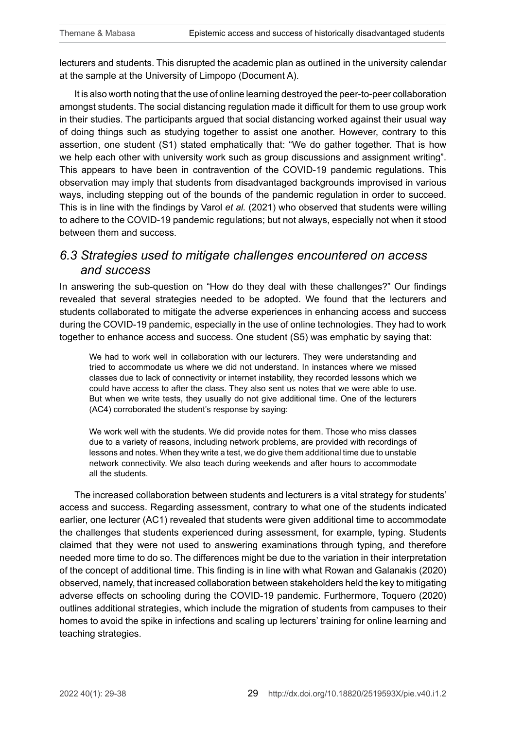lecturers and students. This disrupted the academic plan as outlined in the university calendar at the sample at the University of Limpopo (Document A).

It is also worth noting that the use of online learning destroyed the peer-to-peer collaboration amongst students. The social distancing regulation made it difficult for them to use group work in their studies. The participants argued that social distancing worked against their usual way of doing things such as studying together to assist one another. However, contrary to this assertion, one student (S1) stated emphatically that: "We do gather together. That is how we help each other with university work such as group discussions and assignment writing". This appears to have been in contravention of the COVID-19 pandemic regulations. This observation may imply that students from disadvantaged backgrounds improvised in various ways, including stepping out of the bounds of the pandemic regulation in order to succeed. This is in line with the findings by Varol *et al.* (2021) who observed that students were willing to adhere to the COVID-19 pandemic regulations; but not always, especially not when it stood between them and success.

# *6.3 Strategies used to mitigate challenges encountered on access and success*

In answering the sub-question on "How do they deal with these challenges?" Our findings revealed that several strategies needed to be adopted. We found that the lecturers and students collaborated to mitigate the adverse experiences in enhancing access and success during the COVID-19 pandemic, especially in the use of online technologies. They had to work together to enhance access and success. One student (S5) was emphatic by saying that:

We had to work well in collaboration with our lecturers. They were understanding and tried to accommodate us where we did not understand. In instances where we missed classes due to lack of connectivity or internet instability, they recorded lessons which we could have access to after the class. They also sent us notes that we were able to use. But when we write tests, they usually do not give additional time. One of the lecturers (AC4) corroborated the student's response by saying:

We work well with the students. We did provide notes for them. Those who miss classes due to a variety of reasons, including network problems, are provided with recordings of lessons and notes. When they write a test, we do give them additional time due to unstable network connectivity. We also teach during weekends and after hours to accommodate all the students.

The increased collaboration between students and lecturers is a vital strategy for students' access and success. Regarding assessment, contrary to what one of the students indicated earlier, one lecturer (AC1) revealed that students were given additional time to accommodate the challenges that students experienced during assessment, for example, typing. Students claimed that they were not used to answering examinations through typing, and therefore needed more time to do so. The differences might be due to the variation in their interpretation of the concept of additional time. This finding is in line with what Rowan and Galanakis (2020) observed, namely, that increased collaboration between stakeholders held the key to mitigating adverse effects on schooling during the COVID-19 pandemic. Furthermore, Toquero (2020) outlines additional strategies, which include the migration of students from campuses to their homes to avoid the spike in infections and scaling up lecturers' training for online learning and teaching strategies.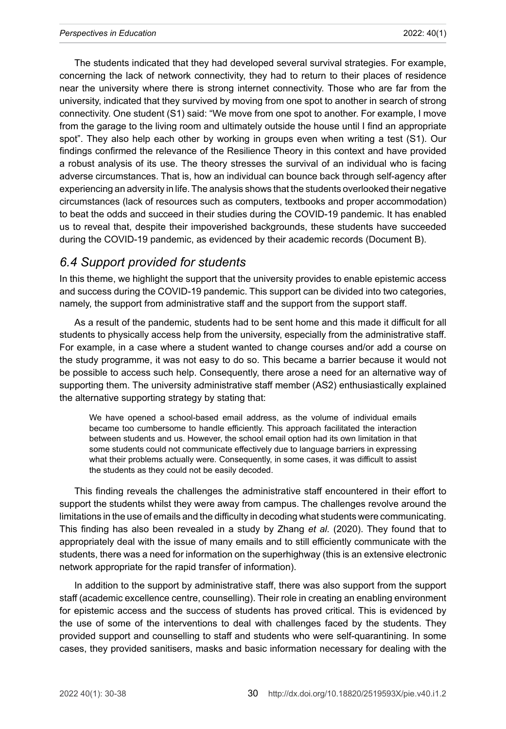The students indicated that they had developed several survival strategies. For example, concerning the lack of network connectivity, they had to return to their places of residence near the university where there is strong internet connectivity. Those who are far from the university, indicated that they survived by moving from one spot to another in search of strong connectivity. One student (S1) said: "We move from one spot to another. For example, I move from the garage to the living room and ultimately outside the house until I find an appropriate spot". They also help each other by working in groups even when writing a test (S1). Our findings confirmed the relevance of the Resilience Theory in this context and have provided a robust analysis of its use. The theory stresses the survival of an individual who is facing adverse circumstances. That is, how an individual can bounce back through self-agency after experiencing an adversity in life. The analysis shows that the students overlooked their negative circumstances (lack of resources such as computers, textbooks and proper accommodation) to beat the odds and succeed in their studies during the COVID-19 pandemic. It has enabled us to reveal that, despite their impoverished backgrounds, these students have succeeded during the COVID-19 pandemic, as evidenced by their academic records (Document B).

# *6.4 Support provided for students*

In this theme, we highlight the support that the university provides to enable epistemic access and success during the COVID-19 pandemic. This support can be divided into two categories, namely, the support from administrative staff and the support from the support staff.

As a result of the pandemic, students had to be sent home and this made it difficult for all students to physically access help from the university, especially from the administrative staff. For example, in a case where a student wanted to change courses and/or add a course on the study programme, it was not easy to do so. This became a barrier because it would not be possible to access such help. Consequently, there arose a need for an alternative way of supporting them. The university administrative staff member (AS2) enthusiastically explained the alternative supporting strategy by stating that:

We have opened a school-based email address, as the volume of individual emails became too cumbersome to handle efficiently. This approach facilitated the interaction between students and us. However, the school email option had its own limitation in that some students could not communicate effectively due to language barriers in expressing what their problems actually were. Consequently, in some cases, it was difficult to assist the students as they could not be easily decoded.

This finding reveals the challenges the administrative staff encountered in their effort to support the students whilst they were away from campus. The challenges revolve around the limitations in the use of emails and the difficulty in decoding what students were communicating. This finding has also been revealed in a study by Zhang *et al.* (2020). They found that to appropriately deal with the issue of many emails and to still efficiently communicate with the students, there was a need for information on the superhighway (this is an extensive electronic network appropriate for the rapid transfer of information).

In addition to the support by administrative staff, there was also support from the support staff (academic excellence centre, counselling). Their role in creating an enabling environment for epistemic access and the success of students has proved critical. This is evidenced by the use of some of the interventions to deal with challenges faced by the students. They provided support and counselling to staff and students who were self-quarantining. In some cases, they provided sanitisers, masks and basic information necessary for dealing with the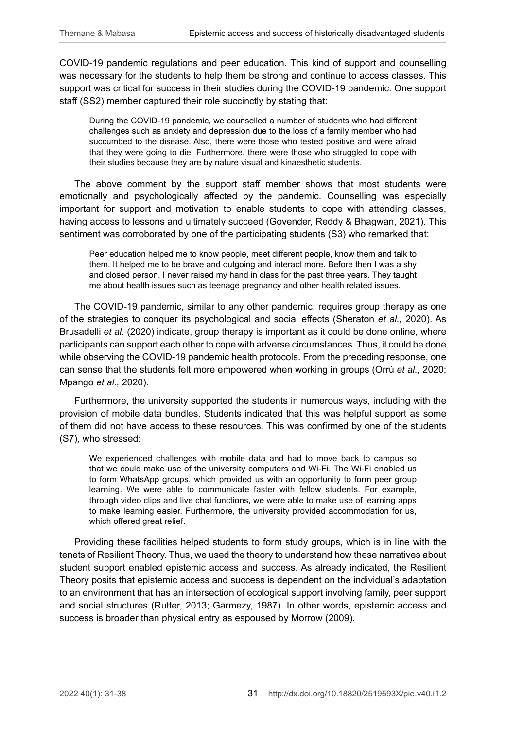COVID-19 pandemic regulations and peer education. This kind of support and counselling was necessary for the students to help them be strong and continue to access classes. This support was critical for success in their studies during the COVID-19 pandemic. One support staff (SS2) member captured their role succinctly by stating that:

During the COVID-19 pandemic, we counselled a number of students who had different challenges such as anxiety and depression due to the loss of a family member who had succumbed to the disease. Also, there were those who tested positive and were afraid that they were going to die. Furthermore, there were those who struggled to cope with their studies because they are by nature visual and kinaesthetic students.

The above comment by the support staff member shows that most students were emotionally and psychologically affected by the pandemic. Counselling was especially important for support and motivation to enable students to cope with attending classes, having access to lessons and ultimately succeed (Govender, Reddy & Bhagwan, 2021). This sentiment was corroborated by one of the participating students (S3) who remarked that:

Peer education helped me to know people, meet different people, know them and talk to them. It helped me to be brave and outgoing and interact more. Before then I was a shy and closed person. I never raised my hand in class for the past three years. They taught me about health issues such as teenage pregnancy and other health related issues.

The COVID-19 pandemic, similar to any other pandemic, requires group therapy as one of the strategies to conquer its psychological and social effects (Sheraton *et al.,* 2020). As Brusadelli *et al.* (2020) indicate, group therapy is important as it could be done online, where participants can support each other to cope with adverse circumstances. Thus, it could be done while observing the COVID-19 pandemic health protocols. From the preceding response, one can sense that the students felt more empowered when working in groups (Orrù *et al.,* 2020; Mpango *et al.,* 2020).

Furthermore, the university supported the students in numerous ways, including with the provision of mobile data bundles. Students indicated that this was helpful support as some of them did not have access to these resources. This was confirmed by one of the students (S7), who stressed:

We experienced challenges with mobile data and had to move back to campus so that we could make use of the university computers and Wi-Fi. The Wi-Fi enabled us to form WhatsApp groups, which provided us with an opportunity to form peer group learning. We were able to communicate faster with fellow students. For example, through video clips and live chat functions, we were able to make use of learning apps to make learning easier. Furthermore, the university provided accommodation for us, which offered great relief.

Providing these facilities helped students to form study groups, which is in line with the tenets of Resilient Theory. Thus, we used the theory to understand how these narratives about student support enabled epistemic access and success. As already indicated, the Resilient Theory posits that epistemic access and success is dependent on the individual's adaptation to an environment that has an intersection of ecological support involving family, peer support and social structures (Rutter, 2013; Garmezy, 1987). In other words, epistemic access and success is broader than physical entry as espoused by Morrow (2009).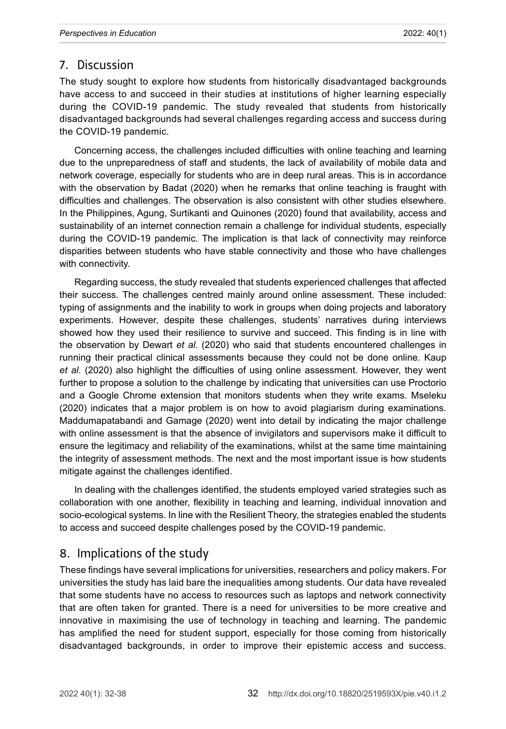# 7. Discussion

The study sought to explore how students from historically disadvantaged backgrounds have access to and succeed in their studies at institutions of higher learning especially during the COVID-19 pandemic. The study revealed that students from historically disadvantaged backgrounds had several challenges regarding access and success during the COVID-19 pandemic.

Concerning access, the challenges included difficulties with online teaching and learning due to the unpreparedness of staff and students, the lack of availability of mobile data and network coverage, especially for students who are in deep rural areas. This is in accordance with the observation by Badat (2020) when he remarks that online teaching is fraught with difficulties and challenges. The observation is also consistent with other studies elsewhere. In the Philippines, Agung, Surtikanti and Quinones (2020) found that availability, access and sustainability of an internet connection remain a challenge for individual students, especially during the COVID-19 pandemic. The implication is that lack of connectivity may reinforce disparities between students who have stable connectivity and those who have challenges with connectivity.

Regarding success, the study revealed that students experienced challenges that affected their success. The challenges centred mainly around online assessment. These included: typing of assignments and the inability to work in groups when doing projects and laboratory experiments. However, despite these challenges, students' narratives during interviews showed how they used their resilience to survive and succeed. This finding is in line with the observation by Dewart *et al.* (2020) who said that students encountered challenges in running their practical clinical assessments because they could not be done online. Kaup *et al.* (2020) also highlight the difficulties of using online assessment. However, they went further to propose a solution to the challenge by indicating that universities can use Proctorio and a Google Chrome extension that monitors students when they write exams. Mseleku (2020) indicates that a major problem is on how to avoid plagiarism during examinations. Maddumapatabandi and Gamage (2020) went into detail by indicating the major challenge with online assessment is that the absence of invigilators and supervisors make it difficult to ensure the legitimacy and reliability of the examinations, whilst at the same time maintaining the integrity of assessment methods. The next and the most important issue is how students mitigate against the challenges identified.

In dealing with the challenges identified, the students employed varied strategies such as collaboration with one another, flexibility in teaching and learning, individual innovation and socio-ecological systems. In line with the Resilient Theory, the strategies enabled the students to access and succeed despite challenges posed by the COVID-19 pandemic.

# 8. Implications of the study

These findings have several implications for universities, researchers and policy makers. For universities the study has laid bare the inequalities among students. Our data have revealed that some students have no access to resources such as laptops and network connectivity that are often taken for granted. There is a need for universities to be more creative and innovative in maximising the use of technology in teaching and learning. The pandemic has amplified the need for student support, especially for those coming from historically disadvantaged backgrounds, in order to improve their epistemic access and success.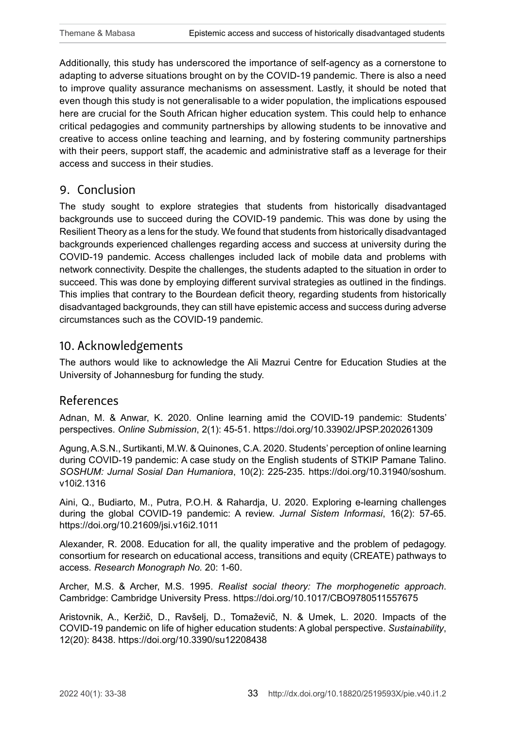Additionally, this study has underscored the importance of self-agency as a cornerstone to adapting to adverse situations brought on by the COVID-19 pandemic. There is also a need to improve quality assurance mechanisms on assessment. Lastly, it should be noted that even though this study is not generalisable to a wider population, the implications espoused here are crucial for the South African higher education system. This could help to enhance critical pedagogies and community partnerships by allowing students to be innovative and creative to access online teaching and learning, and by fostering community partnerships with their peers, support staff, the academic and administrative staff as a leverage for their access and success in their studies.

# 9. Conclusion

The study sought to explore strategies that students from historically disadvantaged backgrounds use to succeed during the COVID-19 pandemic. This was done by using the Resilient Theory as a lens for the study. We found that students from historically disadvantaged backgrounds experienced challenges regarding access and success at university during the COVID-19 pandemic. Access challenges included lack of mobile data and problems with network connectivity. Despite the challenges, the students adapted to the situation in order to succeed. This was done by employing different survival strategies as outlined in the findings. This implies that contrary to the Bourdean deficit theory, regarding students from historically disadvantaged backgrounds, they can still have epistemic access and success during adverse circumstances such as the COVID-19 pandemic.

# 10. Acknowledgements

The authors would like to acknowledge the Ali Mazrui Centre for Education Studies at the University of Johannesburg for funding the study.

# References

Adnan, M. & Anwar, K. 2020. Online learning amid the COVID-19 pandemic: Students' perspectives. *Online Submission*, 2(1): 45-51.<https://doi.org/10.33902/JPSP.2020261309>

Agung, A.S.N., Surtikanti, M.W. & Quinones, C.A. 2020. Students' perception of online learning during COVID-19 pandemic: A case study on the English students of STKIP Pamane Talino. *SOSHUM: Jurnal Sosial Dan Humaniora*, 10(2): 225-235. [https://doi.org/10.31940/soshum.](https://doi.org/10.31940/soshum.v10i2.1316) [v10i2.1316](https://doi.org/10.31940/soshum.v10i2.1316)

Aini, Q., Budiarto, M., Putra, P.O.H. & Rahardja, U. 2020. Exploring e-learning challenges during the global COVID-19 pandemic: A review. *Jurnal Sistem Informasi*, 16(2): 57-65. <https://doi.org/10.21609/jsi.v16i2.1011>

Alexander, R. 2008. Education for all, the quality imperative and the problem of pedagogy. consortium for research on educational access, transitions and equity (CREATE) pathways to access*. Research Monograph No.* 20: 1-60.

Archer, M.S. & Archer, M.S. 1995. *Realist social theory: The morphogenetic approach*. Cambridge: Cambridge University Press.<https://doi.org/10.1017/CBO9780511557675>

Aristovnik, A., Keržič, D., Ravšelj, D., Tomaževič, N. & Umek, L. 2020. Impacts of the COVID-19 pandemic on life of higher education students: A global perspective. *Sustainability*, 12(20): 8438. <https://doi.org/10.3390/su12208438>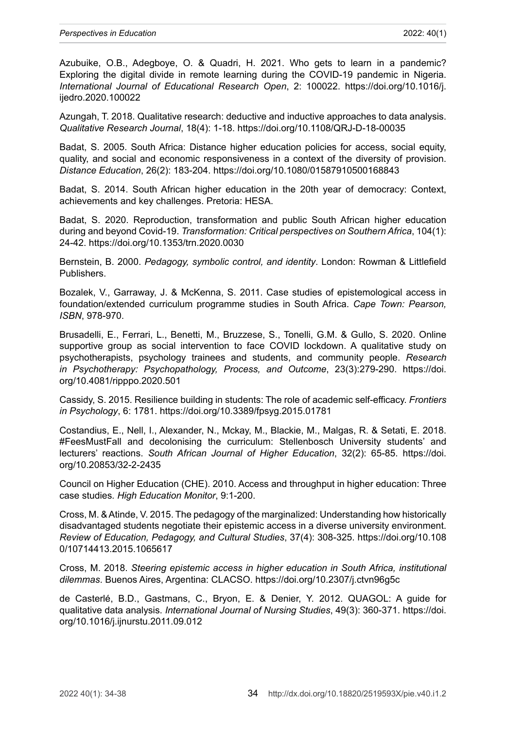Azubuike, O.B., Adegboye, O. & Quadri, H. 2021. Who gets to learn in a pandemic? Exploring the digital divide in remote learning during the COVID-19 pandemic in Nigeria. *International Journal of Educational Research Open*, 2: 100022. [https://doi.org/10.1016/j.](https://doi.org/10.1016/j.ijedro.2020.100022) [ijedro.2020.100022](https://doi.org/10.1016/j.ijedro.2020.100022)

Azungah, T. 2018. Qualitative research: deductive and inductive approaches to data analysis. *Qualitative Research Journal*, 18(4): 1-18.<https://doi.org/10.1108/QRJ-D-18-00035>

Badat, S. 2005. South Africa: Distance higher education policies for access, social equity, quality, and social and economic responsiveness in a context of the diversity of provision. *Distance Education*, 26(2): 183-204.<https://doi.org/10.1080/01587910500168843>

Badat, S. 2014. South African higher education in the 20th year of democracy: Context, achievements and key challenges. Pretoria: HESA.

Badat, S. 2020. Reproduction, transformation and public South African higher education during and beyond Covid-19. *Transformation: Critical perspectives on Southern Africa*, 104(1): 24-42. <https://doi.org/10.1353/trn.2020.0030>

Bernstein, B. 2000. *Pedagogy, symbolic control, and identity*. London: Rowman & Littlefield Publishers.

Bozalek, V., Garraway, J. & McKenna, S. 2011. Case studies of epistemological access in foundation/extended curriculum programme studies in South Africa. *Cape Town: Pearson, ISBN*, 978-970.

Brusadelli, E., Ferrari, L., Benetti, M., Bruzzese, S., Tonelli, G.M. & Gullo, S. 2020. Online supportive group as social intervention to face COVID lockdown. A qualitative study on psychotherapists, psychology trainees and students, and community people. *Research in Psychotherapy: Psychopathology, Process, and Outcome*, 23(3):279-290. [https://doi.](https://doi.org/10.4081/ripppo.2020.501) [org/10.4081/ripppo.2020.501](https://doi.org/10.4081/ripppo.2020.501)

Cassidy, S. 2015. Resilience building in students: The role of academic self-efficacy. *Frontiers in Psychology*, 6: 1781.<https://doi.org/10.3389/fpsyg.2015.01781>

Costandius, E., Nell, I., Alexander, N., Mckay, M., Blackie, M., Malgas, R. & Setati, E. 2018. #FeesMustFall and decolonising the curriculum: Stellenbosch University students' and lecturers' reactions. *South African Journal of Higher Education*, 32(2): 65-85. [https://doi.](https://doi.org/10.20853/32-2-2435) [org/10.20853/32-2-2435](https://doi.org/10.20853/32-2-2435)

Council on Higher Education (CHE). 2010. Access and throughput in higher education: Three case studies*. High Education Monitor*, 9:1-200.

Cross, M. & Atinde, V. 2015. The pedagogy of the marginalized: Understanding how historically disadvantaged students negotiate their epistemic access in a diverse university environment. *Review of Education, Pedagogy, and Cultural Studies*, 37(4): 308-325. [https://doi.org/10.108](https://doi.org/10.1080/10714413.2015.1065617) [0/10714413.2015.1065617](https://doi.org/10.1080/10714413.2015.1065617)

Cross, M. 2018. *Steering epistemic access in higher education in South Africa, institutional dilemmas*. Buenos Aires, Argentina: CLACSO.<https://doi.org/10.2307/j.ctvn96g5c>

de Casterlé, B.D., Gastmans, C., Bryon, E. & Denier, Y. 2012. QUAGOL: A guide for qualitative data analysis. *International Journal of Nursing Studies*, 49(3): 360-371. [https://doi.](https://doi.org/10.1016/j.ijnurstu.2011.09.012) [org/10.1016/j.ijnurstu.2011.09.012](https://doi.org/10.1016/j.ijnurstu.2011.09.012)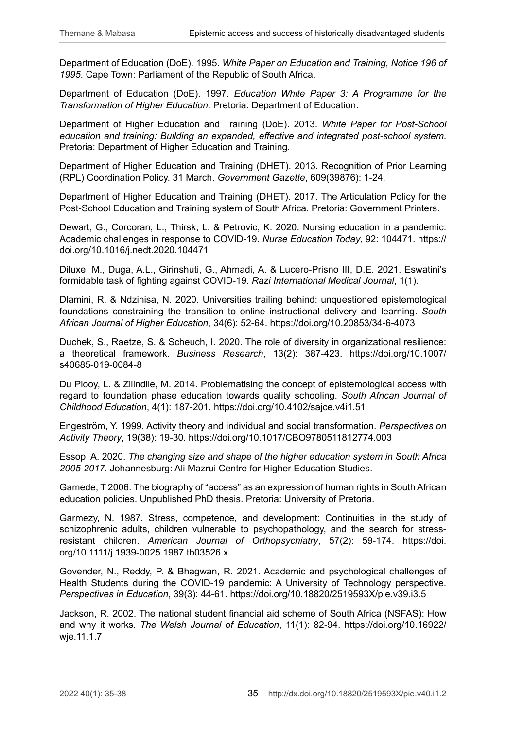Department of Education (DoE). 1995. *White Paper on Education and Training, Notice 196 of 1995*. Cape Town: Parliament of the Republic of South Africa.

Department of Education (DoE). 1997. *Education White Paper 3: A Programme for the Transformation of Higher Education*. Pretoria: Department of Education.

Department of Higher Education and Training (DoE). 2013. *White Paper for Post-School education and training: Building an expanded, effective and integrated post-school system*. Pretoria: Department of Higher Education and Training.

Department of Higher Education and Training (DHET). 2013. Recognition of Prior Learning (RPL) Coordination Policy. 31 March. *Government Gazette*, 609(39876): 1-24.

Department of Higher Education and Training (DHET). 2017. The Articulation Policy for the Post-School Education and Training system of South Africa. Pretoria: Government Printers.

Dewart, G., Corcoran, L., Thirsk, L. & Petrovic, K. 2020. Nursing education in a pandemic: Academic challenges in response to COVID-19. *Nurse Education Today*, 92: 104471. [https://](https://doi.org/10.1016/j.nedt.2020.104471) [doi.org/10.1016/j.nedt.2020.104471](https://doi.org/10.1016/j.nedt.2020.104471)

Diluxe, M., Duga, A.L., Girinshuti, G., Ahmadi, A. & Lucero-Prisno III, D.E. 2021. Eswatini's formidable task of fighting against COVID-19. *Razi International Medical Journal*, 1(1).

Dlamini, R. & Ndzinisa, N. 2020. Universities trailing behind: unquestioned epistemological foundations constraining the transition to online instructional delivery and learning. *South African Journal of Higher Education*, 34(6): 52-64.<https://doi.org/10.20853/34-6-4073>

Duchek, S., Raetze, S. & Scheuch, I. 2020. The role of diversity in organizational resilience: a theoretical framework. *Business Research*, 13(2): 387-423. [https://doi.org/10.1007/](https://doi.org/10.1007/s40685-019-0084-8) [s40685-019-0084-8](https://doi.org/10.1007/s40685-019-0084-8)

Du Plooy, L. & Zilindile, M. 2014. Problematising the concept of epistemological access with regard to foundation phase education towards quality schooling. *South African Journal of Childhood Education*, 4(1): 187-201. <https://doi.org/10.4102/sajce.v4i1.51>

Engeström, Y. 1999. Activity theory and individual and social transformation. *Perspectives on Activity Theory*, 19(38): 19-30. <https://doi.org/10.1017/CBO9780511812774.003>

Essop, A. 2020. *The changing size and shape of the higher education system in South Africa 2005-2017*. Johannesburg: Ali Mazrui Centre for Higher Education Studies.

Gamede, T 2006. The biography of "access" as an expression of human rights in South African education policies. Unpublished PhD thesis. Pretoria: University of Pretoria.

Garmezy, N. 1987. Stress, competence, and development: Continuities in the study of schizophrenic adults, children vulnerable to psychopathology, and the search for stressresistant children. *American Journal of Orthopsychiatry*, 57(2): 59-174. [https://doi.](https://doi.org/10.1111/j.1939-0025.1987.tb03526.x) [org/10.1111/j.1939-0025.1987.tb03526.x](https://doi.org/10.1111/j.1939-0025.1987.tb03526.x)

Govender, N., Reddy, P. & Bhagwan, R. 2021. Academic and psychological challenges of Health Students during the COVID-19 pandemic: A University of Technology perspective. *Perspectives in Education*, 39(3): 44-61.<https://doi.org/10.18820/2519593X/pie.v39.i3.5>

Jackson, R. 2002. The national student financial aid scheme of South Africa (NSFAS): How and why it works. *The Welsh Journal of Education*, 11(1): 82-94. [https://doi.org/10.16922/](https://doi.org/10.16922/wje.11.1.7) [wje.11.1.7](https://doi.org/10.16922/wje.11.1.7)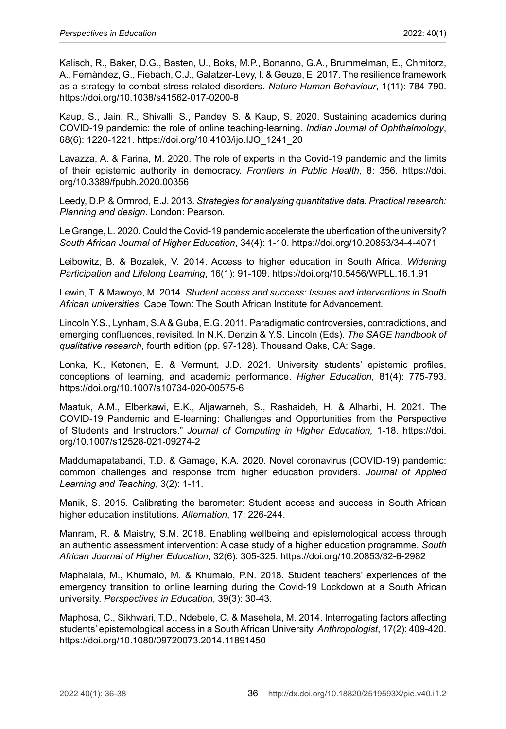Kalisch, R., Baker, D.G., Basten, U., Boks, M.P., Bonanno, G.A., Brummelman, E., Chmitorz, A., Fernàndez, G., Fiebach, C.J., Galatzer-Levy, I. & Geuze, E. 2017. The resilience framework as a strategy to combat stress-related disorders. *Nature Human Behaviour*, 1(11): 784-790. <https://doi.org/10.1038/s41562-017-0200-8>

Kaup, S., Jain, R., Shivalli, S., Pandey, S. & Kaup, S. 2020. Sustaining academics during COVID-19 pandemic: the role of online teaching-learning. *Indian Journal of Ophthalmology*, 68(6): 1220-1221. [https://doi.org/10.4103/ijo.IJO\\_1241\\_20](https://doi.org/10.4103/ijo.IJO_1241_20)

Lavazza, A. & Farina, M. 2020. The role of experts in the Covid-19 pandemic and the limits of their epistemic authority in democracy. *Frontiers in Public Health*, 8: 356. [https://doi.](https://doi.org/10.3389/fpubh.2020.00356) [org/10.3389/fpubh.2020.00356](https://doi.org/10.3389/fpubh.2020.00356)

Leedy, D.P. & Ormrod, E.J. 2013. *Strategies for analysing quantitative data. Practical research: Planning and design*. London: Pearson.

Le Grange, L. 2020. Could the Covid-19 pandemic accelerate the uberfication of the university? *South African Journal of Higher Education*, 34(4): 1-10. <https://doi.org/10.20853/34-4-4071>

Leibowitz, B. & Bozalek, V. 2014. Access to higher education in South Africa. *Widening Participation and Lifelong Learning*, 16(1): 91-109.<https://doi.org/10.5456/WPLL.16.1.91>

Lewin, T. & Mawoyo, M. 2014. *Student access and success: Issues and interventions in South African universities.* Cape Town: The South African Institute for Advancement.

Lincoln Y.S., Lynham, S.A & Guba, E.G. 2011. Paradigmatic controversies, contradictions, and emerging confluences, revisited. In N.K. Denzin & Y.S. Lincoln (Eds). *The SAGE handbook of qualitative research*, fourth edition (pp. 97-128). Thousand Oaks, CA: Sage.

Lonka, K., Ketonen, E. & Vermunt, J.D. 2021. University students' epistemic profiles, conceptions of learning, and academic performance. *Higher Education*, 81(4): 775-793. <https://doi.org/10.1007/s10734-020-00575-6>

Maatuk, A.M., Elberkawi, E.K., Aljawarneh, S., Rashaideh, H. & Alharbi, H. 2021. The COVID-19 Pandemic and E-learning: Challenges and Opportunities from the Perspective of Students and Instructors." *Journal of Computing in Higher Education,* 1-18. [https://doi.](https://doi.org/10.1007/s12528-021-09274-2) [org/10.1007/s12528-021-09274-2](https://doi.org/10.1007/s12528-021-09274-2)

Maddumapatabandi, T.D. & Gamage, K.A. 2020. Novel coronavirus (COVID-19) pandemic: common challenges and response from higher education providers. *Journal of Applied Learning and Teaching*, 3(2): 1-11.

Manik, S. 2015. Calibrating the barometer: Student access and success in South African higher education institutions. *Alternation*, 17: 226-244.

Manram, R. & Maistry, S.M. 2018. Enabling wellbeing and epistemological access through an authentic assessment intervention: A case study of a higher education programme. *South African Journal of Higher Education*, 32(6): 305-325.<https://doi.org/10.20853/32-6-2982>

Maphalala, M., Khumalo, M. & Khumalo, P.N. 2018. Student teachers' experiences of the emergency transition to online learning during the Covid-19 Lockdown at a South African university. *Perspectives in Education*, 39(3): 30-43.

Maphosa, C., Sikhwari, T.D., Ndebele, C. & Masehela, M. 2014. Interrogating factors affecting students' epistemological access in a South African University. *Anthropologist*, 17(2): 409-420. <https://doi.org/10.1080/09720073.2014.11891450>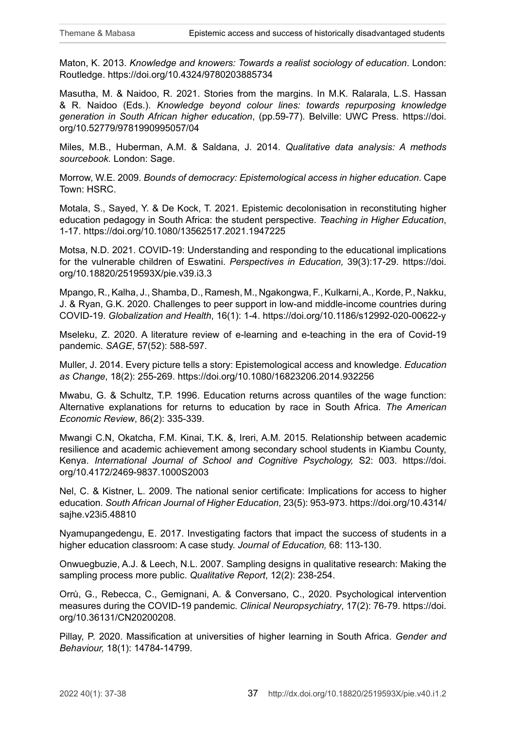Maton, K. 2013. *Knowledge and knowers: Towards a realist sociology of education*. London: Routledge. <https://doi.org/10.4324/9780203885734>

Masutha, M. & Naidoo, R. 2021. Stories from the margins. In M.K. Ralarala, L.S. Hassan & R. Naidoo (Eds.). *Knowledge beyond colour lines: towards repurposing knowledge generation in South African higher education*, (pp.59-77). Belville: UWC Press. [https://doi.](https://doi.org/10.52779/9781990995057/04) [org/10.52779/9781990995057/04](https://doi.org/10.52779/9781990995057/04)

Miles, M.B., Huberman, A.M. & Saldana, J. 2014. *Qualitative data analysis: A methods sourcebook.* London: Sage.

Morrow, W.E. 2009. *Bounds of democracy: Epistemological access in higher education*. Cape Town: HSRC.

Motala, S., Sayed, Y. & De Kock, T. 2021. Epistemic decolonisation in reconstituting higher education pedagogy in South Africa: the student perspective. *Teaching in Higher Education*, 1-17. <https://doi.org/10.1080/13562517.2021.1947225>

Motsa, N.D. 2021. COVID-19: Understanding and responding to the educational implications for the vulnerable children of Eswatini. *Perspectives in Education,* 39(3):17-29. [https://doi.](https://doi.org/10.18820/2519593X/pie.v39.i3.3) [org/10.18820/2519593X/pie.v39.i3.3](https://doi.org/10.18820/2519593X/pie.v39.i3.3)

Mpango, R., Kalha, J., Shamba, D., Ramesh, M., Ngakongwa, F., Kulkarni, A., Korde, P., Nakku, J. & Ryan, G.K. 2020. Challenges to peer support in low-and middle-income countries during COVID-19. *Globalization and Health*, 16(1): 1-4.<https://doi.org/10.1186/s12992-020-00622-y>

Mseleku, Z. 2020. A literature review of e-learning and e-teaching in the era of Covid-19 pandemic. *SAGE*, 57(52): 588-597.

Muller, J. 2014. Every picture tells a story: Epistemological access and knowledge. *Education as Change*, 18(2): 255-269.<https://doi.org/10.1080/16823206.2014.932256>

Mwabu, G. & Schultz, T.P. 1996. Education returns across quantiles of the wage function: Alternative explanations for returns to education by race in South Africa. *The American Economic Review*, 86(2): 335-339.

Mwangi C.N, Okatcha, F.M. Kinai, T.K. &, Ireri, A.M. 2015. Relationship between academic resilience and academic achievement among secondary school students in Kiambu County, Kenya. *International Journal of School and Cognitive Psychology,* S2: 003. [https://doi.](https://doi.org/10.4172/2469-9837.1000S2003) [org/10.4172/2469-9837.1000S2003](https://doi.org/10.4172/2469-9837.1000S2003)

Nel, C. & Kistner, L. 2009. The national senior certificate: Implications for access to higher education. *South African Journal of Higher Education*, 23(5): 953-973. [https://doi.org/10.4314/](https://doi.org/10.4314/sajhe.v23i5.48810) [sajhe.v23i5.48810](https://doi.org/10.4314/sajhe.v23i5.48810)

Nyamupangedengu, E. 2017. Investigating factors that impact the success of students in a higher education classroom: A case study. *Journal of Education,* 68: 113-130.

Onwuegbuzie, A.J. & Leech, N.L. 2007. Sampling designs in qualitative research: Making the sampling process more public. *Qualitative Report*, 12(2): 238-254.

Orrù, G., Rebecca, C., Gemignani, A. & Conversano, C., 2020. Psychological intervention measures during the COVID-19 pandemic. *Clinical Neuropsychiatry*, 17(2): 76-79. [https://doi.](https://doi.org/10.36131/CN20200208) [org/10.36131/CN20200208](https://doi.org/10.36131/CN20200208).

Pillay, P. 2020. Massification at universities of higher learning in South Africa. *Gender and Behaviour,* 18(1): 14784-14799.